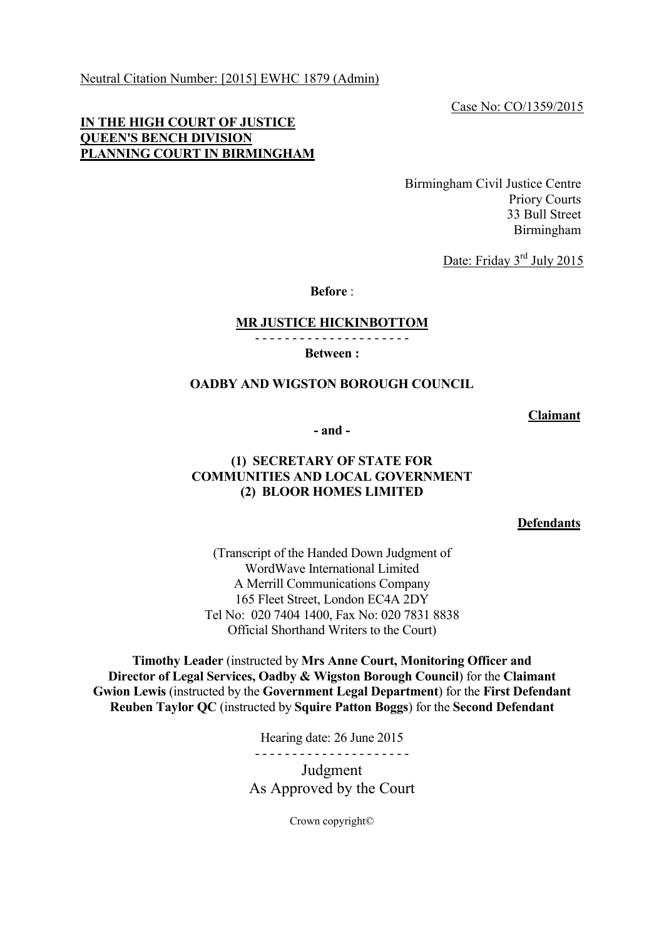Neutral Citation Number: [2015] EWHC 1879 (Admin)

Case No: CO/1359/2015

### **IN THE HIGH COURT OF JUSTICE QUEEN'S BENCH DIVISION PLANNING COURT IN BIRMINGHAM**

Birmingham Civil Justice Centre Priory Courts 33 Bull Street Birmingham

Date: Friday 3<sup>rd</sup> July 2015

**Before** :

#### **MR JUSTICE HICKINBOTTOM**

- - - - - - - - - - - - - - - - - - - - -

**Between :**

#### **OADBY AND WIGSTON BOROUGH COUNCIL**

**Claimant**

**- and -**

### **(1) SECRETARY OF STATE FOR COMMUNITIES AND LOCAL GOVERNMENT (2) BLOOR HOMES LIMITED**

**Defendants**

(Transcript of the Handed Down Judgment of WordWave International Limited A Merrill Communications Company 165 Fleet Street, London EC4A 2DY Tel No: 020 7404 1400, Fax No: 020 7831 8838 Official Shorthand Writers to the Court)

**Timothy Leader** (instructed by **Mrs Anne Court, Monitoring Officer and Director of Legal Services, Oadby & Wigston Borough Council**) for the **Claimant Gwion Lewis** (instructed by the **Government Legal Department**) for the **First Defendant Reuben Taylor QC** (instructed by **Squire Patton Boggs**) for the **Second Defendant**

Hearing date: 26 June 2015

- - - - - - - - - - - - - - - - - - - - -

Judgment As Approved by the Court

Crown copyright©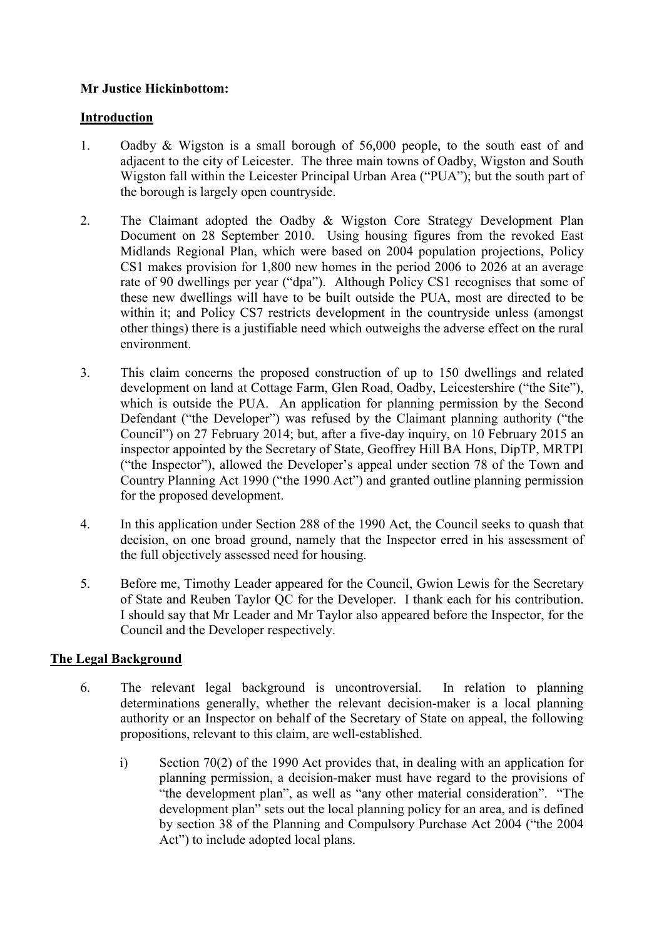## **Mr Justice Hickinbottom:**

## **Introduction**

- 1. Oadby & Wigston is a small borough of 56,000 people, to the south east of and adjacent to the city of Leicester. The three main towns of Oadby, Wigston and South Wigston fall within the Leicester Principal Urban Area ("PUA"); but the south part of the borough is largely open countryside.
- 2. The Claimant adopted the Oadby & Wigston Core Strategy Development Plan Document on 28 September 2010. Using housing figures from the revoked East Midlands Regional Plan, which were based on 2004 population projections, Policy CS1 makes provision for 1,800 new homes in the period 2006 to 2026 at an average rate of 90 dwellings per year ("dpa"). Although Policy CS1 recognises that some of these new dwellings will have to be built outside the PUA, most are directed to be within it; and Policy CS7 restricts development in the countryside unless (amongst other things) there is a justifiable need which outweighs the adverse effect on the rural environment.
- 3. This claim concerns the proposed construction of up to 150 dwellings and related development on land at Cottage Farm, Glen Road, Oadby, Leicestershire ("the Site"), which is outside the PUA. An application for planning permission by the Second Defendant ("the Developer") was refused by the Claimant planning authority ("the Council") on 27 February 2014; but, after a five-day inquiry, on 10 February 2015 an inspector appointed by the Secretary of State, Geoffrey Hill BA Hons, DipTP, MRTPI ("the Inspector"), allowed the Developer's appeal under section 78 of the Town and Country Planning Act 1990 ("the 1990 Act") and granted outline planning permission for the proposed development.
- 4. In this application under Section 288 of the 1990 Act, the Council seeks to quash that decision, on one broad ground, namely that the Inspector erred in his assessment of the full objectively assessed need for housing.
- 5. Before me, Timothy Leader appeared for the Council, Gwion Lewis for the Secretary of State and Reuben Taylor QC for the Developer. I thank each for his contribution. I should say that Mr Leader and Mr Taylor also appeared before the Inspector, for the Council and the Developer respectively.

## **The Legal Background**

- 6. The relevant legal background is uncontroversial. In relation to planning determinations generally, whether the relevant decision-maker is a local planning authority or an Inspector on behalf of the Secretary of State on appeal, the following propositions, relevant to this claim, are well-established.
	- i) Section 70(2) of the 1990 Act provides that, in dealing with an application for planning permission, a decision-maker must have regard to the provisions of "the development plan", as well as "any other material consideration". "The development plan" sets out the local planning policy for an area, and is defined by section 38 of the Planning and Compulsory Purchase Act 2004 ("the 2004 Act") to include adopted local plans.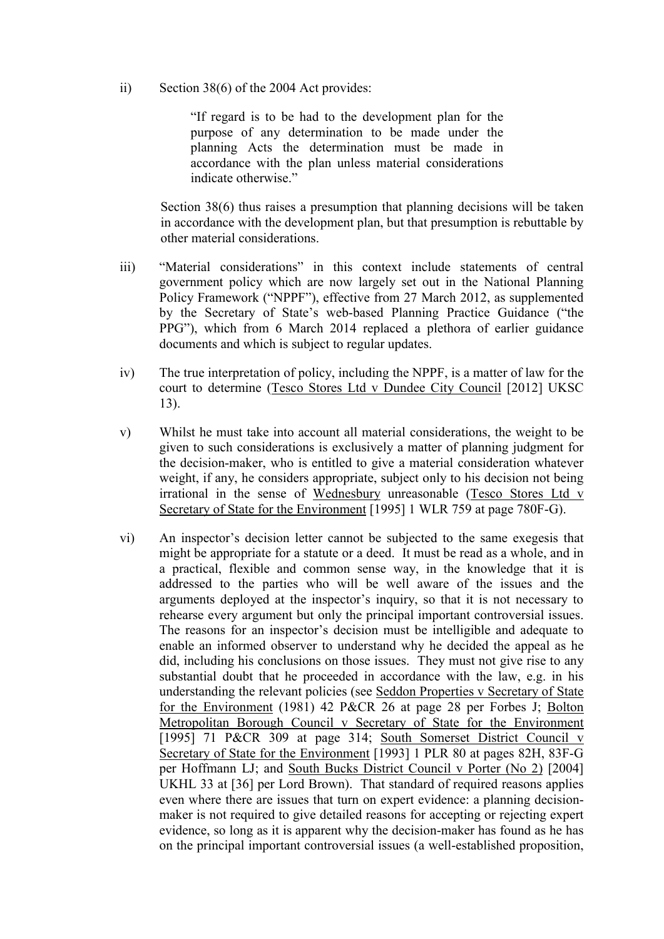ii) Section 38(6) of the 2004 Act provides:

"If regard is to be had to the development plan for the purpose of any determination to be made under the planning Acts the determination must be made in accordance with the plan unless material considerations indicate otherwise."

Section 38(6) thus raises a presumption that planning decisions will be taken in accordance with the development plan, but that presumption is rebuttable by other material considerations.

- iii) "Material considerations" in this context include statements of central government policy which are now largely set out in the National Planning Policy Framework ("NPPF"), effective from 27 March 2012, as supplemented by the Secretary of State's web-based Planning Practice Guidance ("the PPG"), which from 6 March 2014 replaced a plethora of earlier guidance documents and which is subject to regular updates.
- iv) The true interpretation of policy, including the NPPF, is a matter of law for the court to determine (Tesco Stores Ltd v Dundee City Council [2012] UKSC 13).
- v) Whilst he must take into account all material considerations, the weight to be given to such considerations is exclusively a matter of planning judgment for the decision-maker, who is entitled to give a material consideration whatever weight, if any, he considers appropriate, subject only to his decision not being irrational in the sense of Wednesbury unreasonable (Tesco Stores Ltd v Secretary of State for the Environment [1995] 1 WLR 759 at page 780F-G).
- vi) An inspector's decision letter cannot be subjected to the same exegesis that might be appropriate for a statute or a deed. It must be read as a whole, and in a practical, flexible and common sense way, in the knowledge that it is addressed to the parties who will be well aware of the issues and the arguments deployed at the inspector's inquiry, so that it is not necessary to rehearse every argument but only the principal important controversial issues. The reasons for an inspector's decision must be intelligible and adequate to enable an informed observer to understand why he decided the appeal as he did, including his conclusions on those issues. They must not give rise to any substantial doubt that he proceeded in accordance with the law, e.g. in his understanding the relevant policies (see Seddon Properties v Secretary of State for the Environment (1981) 42 P&CR 26 at page 28 per Forbes J; Bolton Metropolitan Borough Council v Secretary of State for the Environment [1995] 71 P&CR 309 at page 314; South Somerset District Council v Secretary of State for the Environment [1993] 1 PLR 80 at pages 82H, 83F-G per Hoffmann LJ; and South Bucks District Council v Porter (No 2) [2004] UKHL 33 at [36] per Lord Brown). That standard of required reasons applies even where there are issues that turn on expert evidence: a planning decisionmaker is not required to give detailed reasons for accepting or rejecting expert evidence, so long as it is apparent why the decision-maker has found as he has on the principal important controversial issues (a well-established proposition,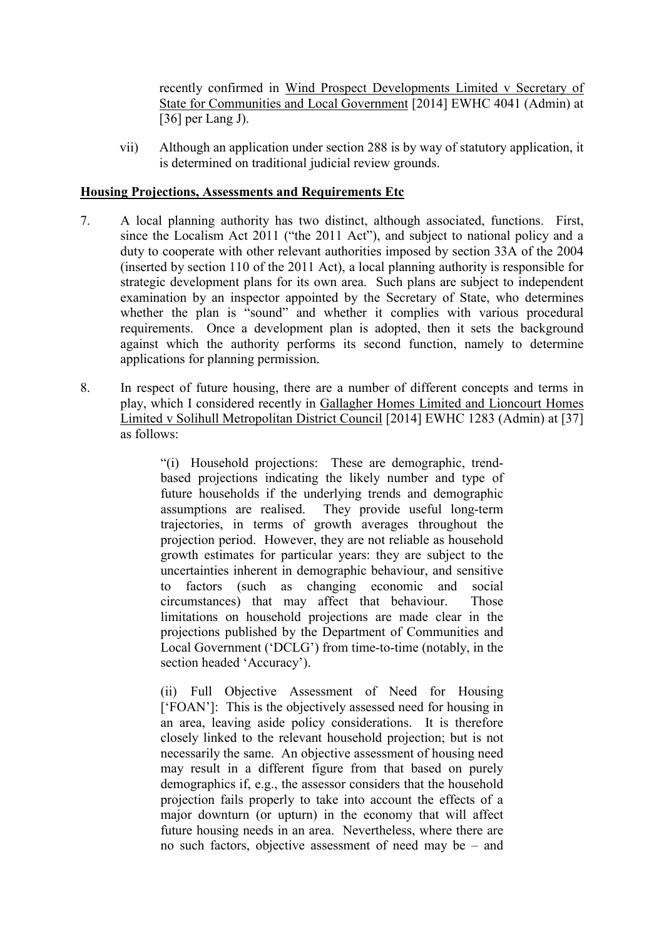recently confirmed in Wind Prospect Developments Limited v Secretary of State for Communities and Local Government [2014] EWHC 4041 (Admin) at  $[36]$  per Lang J).

vii) Although an application under section 288 is by way of statutory application, it is determined on traditional judicial review grounds.

### **Housing Projections, Assessments and Requirements Etc**

- 7. A local planning authority has two distinct, although associated, functions. First, since the Localism Act 2011 ("the 2011 Act"), and subject to national policy and a duty to cooperate with other relevant authorities imposed by section 33A of the 2004 (inserted by section 110 of the 2011 Act), a local planning authority is responsible for strategic development plans for its own area. Such plans are subject to independent examination by an inspector appointed by the Secretary of State, who determines whether the plan is "sound" and whether it complies with various procedural requirements. Once a development plan is adopted, then it sets the background against which the authority performs its second function, namely to determine applications for planning permission.
- 8. In respect of future housing, there are a number of different concepts and terms in play, which I considered recently in Gallagher Homes Limited and Lioncourt Homes Limited v Solihull Metropolitan District Council [2014] EWHC 1283 (Admin) at [37] as follows:

"(i) Household projections: These are demographic, trendbased projections indicating the likely number and type of future households if the underlying trends and demographic assumptions are realised. They provide useful long-term trajectories, in terms of growth averages throughout the projection period. However, they are not reliable as household growth estimates for particular years: they are subject to the uncertainties inherent in demographic behaviour, and sensitive to factors (such as changing economic and social circumstances) that may affect that behaviour. Those limitations on household projections are made clear in the projections published by the Department of Communities and Local Government ('DCLG') from time-to-time (notably, in the section headed 'Accuracy').

(ii) Full Objective Assessment of Need for Housing ['FOAN']: This is the objectively assessed need for housing in an area, leaving aside policy considerations. It is therefore closely linked to the relevant household projection; but is not necessarily the same. An objective assessment of housing need may result in a different figure from that based on purely demographics if, e.g., the assessor considers that the household projection fails properly to take into account the effects of a major downturn (or upturn) in the economy that will affect future housing needs in an area. Nevertheless, where there are no such factors, objective assessment of need may be – and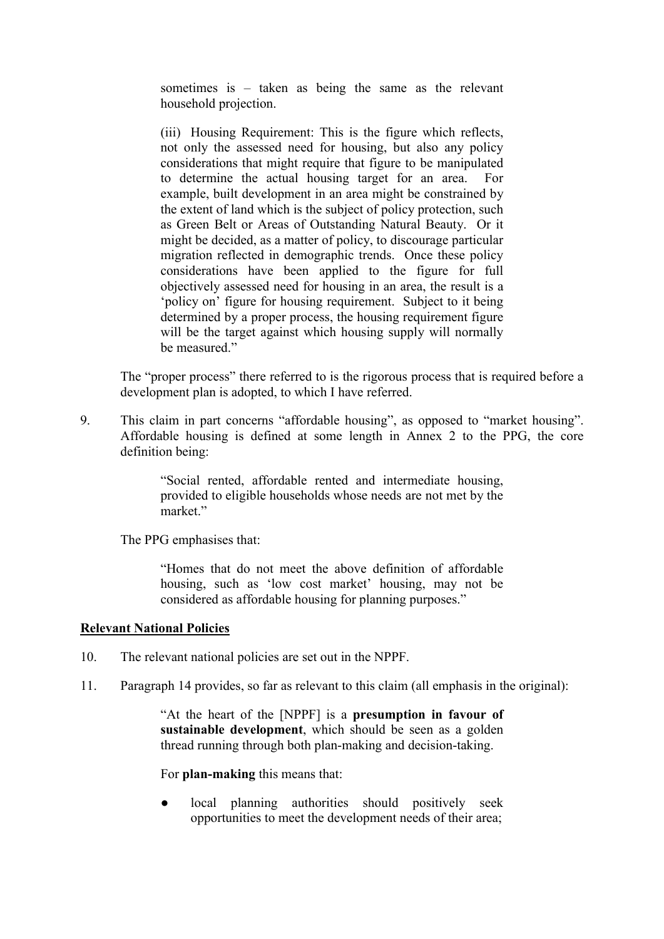sometimes is – taken as being the same as the relevant household projection.

(iii) Housing Requirement: This is the figure which reflects, not only the assessed need for housing, but also any policy considerations that might require that figure to be manipulated to determine the actual housing target for an area. For example, built development in an area might be constrained by the extent of land which is the subject of policy protection, such as Green Belt or Areas of Outstanding Natural Beauty. Or it might be decided, as a matter of policy, to discourage particular migration reflected in demographic trends. Once these policy considerations have been applied to the figure for full objectively assessed need for housing in an area, the result is a 'policy on' figure for housing requirement. Subject to it being determined by a proper process, the housing requirement figure will be the target against which housing supply will normally be measured"

The "proper process" there referred to is the rigorous process that is required before a development plan is adopted, to which I have referred.

9. This claim in part concerns "affordable housing", as opposed to "market housing". Affordable housing is defined at some length in Annex 2 to the PPG, the core definition being:

> "Social rented, affordable rented and intermediate housing, provided to eligible households whose needs are not met by the market"

The PPG emphasises that:

"Homes that do not meet the above definition of affordable housing, such as 'low cost market' housing, may not be considered as affordable housing for planning purposes."

#### **Relevant National Policies**

- 10. The relevant national policies are set out in the NPPF.
- 11. Paragraph 14 provides, so far as relevant to this claim (all emphasis in the original):

"At the heart of the [NPPF] is a **presumption in favour of sustainable development**, which should be seen as a golden thread running through both plan-making and decision-taking.

For **plan-making** this means that:

● local planning authorities should positively seek opportunities to meet the development needs of their area;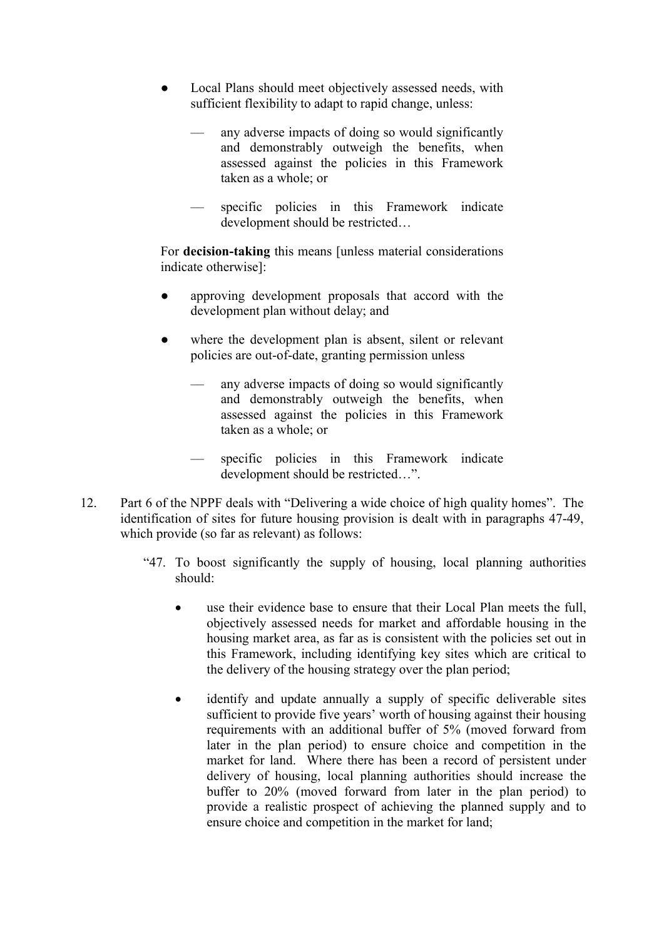- Local Plans should meet objectively assessed needs, with sufficient flexibility to adapt to rapid change, unless:
	- –– any adverse impacts of doing so would significantly and demonstrably outweigh the benefits, when assessed against the policies in this Framework taken as a whole; or
	- specific policies in this Framework indicate development should be restricted…

For **decision-taking** this means [unless material considerations indicate otherwise]:

- approving development proposals that accord with the development plan without delay; and
- where the development plan is absent, silent or relevant policies are out-of-date, granting permission unless
	- –– any adverse impacts of doing so would significantly and demonstrably outweigh the benefits, when assessed against the policies in this Framework taken as a whole; or
	- –– specific policies in this Framework indicate development should be restricted…".
- 12. Part 6 of the NPPF deals with "Delivering a wide choice of high quality homes". The identification of sites for future housing provision is dealt with in paragraphs 47-49, which provide (so far as relevant) as follows:
	- "47. To boost significantly the supply of housing, local planning authorities should:
		- use their evidence base to ensure that their Local Plan meets the full, objectively assessed needs for market and affordable housing in the housing market area, as far as is consistent with the policies set out in this Framework, including identifying key sites which are critical to the delivery of the housing strategy over the plan period;
		- identify and update annually a supply of specific deliverable sites sufficient to provide five years' worth of housing against their housing requirements with an additional buffer of 5% (moved forward from later in the plan period) to ensure choice and competition in the market for land. Where there has been a record of persistent under delivery of housing, local planning authorities should increase the buffer to 20% (moved forward from later in the plan period) to provide a realistic prospect of achieving the planned supply and to ensure choice and competition in the market for land;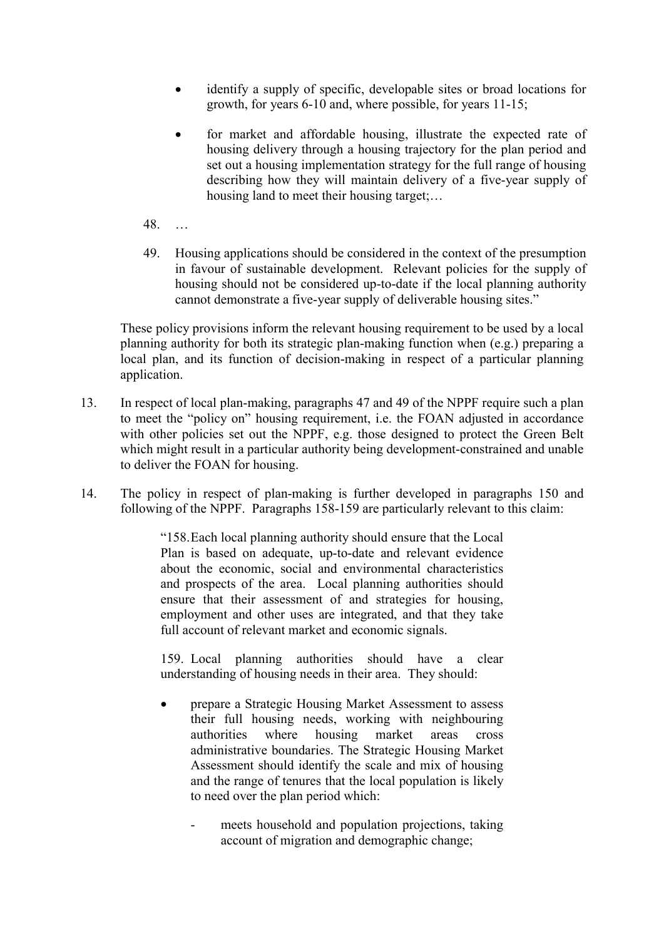- identify a supply of specific, developable sites or broad locations for growth, for years 6-10 and, where possible, for years 11-15;
- for market and affordable housing, illustrate the expected rate of housing delivery through a housing trajectory for the plan period and set out a housing implementation strategy for the full range of housing describing how they will maintain delivery of a five-year supply of housing land to meet their housing target;…
- 48. …
- 49. Housing applications should be considered in the context of the presumption in favour of sustainable development. Relevant policies for the supply of housing should not be considered up-to-date if the local planning authority cannot demonstrate a five-year supply of deliverable housing sites."

These policy provisions inform the relevant housing requirement to be used by a local planning authority for both its strategic plan-making function when (e.g.) preparing a local plan, and its function of decision-making in respect of a particular planning application.

- 13. In respect of local plan-making, paragraphs 47 and 49 of the NPPF require such a plan to meet the "policy on" housing requirement, i.e. the FOAN adjusted in accordance with other policies set out the NPPF, e.g. those designed to protect the Green Belt which might result in a particular authority being development-constrained and unable to deliver the FOAN for housing.
- 14. The policy in respect of plan-making is further developed in paragraphs 150 and following of the NPPF. Paragraphs 158-159 are particularly relevant to this claim:

"158.Each local planning authority should ensure that the Local Plan is based on adequate, up-to-date and relevant evidence about the economic, social and environmental characteristics and prospects of the area. Local planning authorities should ensure that their assessment of and strategies for housing, employment and other uses are integrated, and that they take full account of relevant market and economic signals.

159. Local planning authorities should have a clear understanding of housing needs in their area. They should:

- prepare a Strategic Housing Market Assessment to assess their full housing needs, working with neighbouring authorities where housing market areas cross administrative boundaries. The Strategic Housing Market Assessment should identify the scale and mix of housing and the range of tenures that the local population is likely to need over the plan period which:
	- meets household and population projections, taking account of migration and demographic change;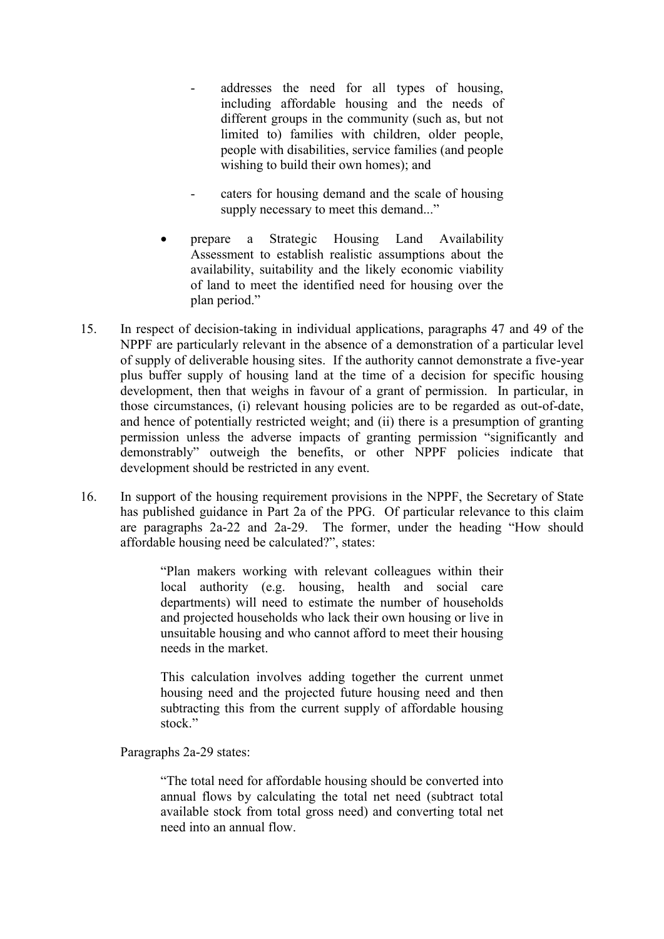- addresses the need for all types of housing, including affordable housing and the needs of different groups in the community (such as, but not limited to) families with children, older people, people with disabilities, service families (and people wishing to build their own homes); and
- caters for housing demand and the scale of housing supply necessary to meet this demand..."
- prepare a Strategic Housing Land Availability Assessment to establish realistic assumptions about the availability, suitability and the likely economic viability of land to meet the identified need for housing over the plan period."
- 15. In respect of decision-taking in individual applications, paragraphs 47 and 49 of the NPPF are particularly relevant in the absence of a demonstration of a particular level of supply of deliverable housing sites. If the authority cannot demonstrate a five-year plus buffer supply of housing land at the time of a decision for specific housing development, then that weighs in favour of a grant of permission. In particular, in those circumstances, (i) relevant housing policies are to be regarded as out-of-date, and hence of potentially restricted weight; and (ii) there is a presumption of granting permission unless the adverse impacts of granting permission "significantly and demonstrably" outweigh the benefits, or other NPPF policies indicate that development should be restricted in any event.
- 16. In support of the housing requirement provisions in the NPPF, the Secretary of State has published guidance in Part 2a of the PPG. Of particular relevance to this claim are paragraphs 2a-22 and 2a-29. The former, under the heading "How should affordable housing need be calculated?", states:

"Plan makers working with relevant colleagues within their local authority (e.g. housing, health and social care departments) will need to estimate the number of households and projected households who lack their own housing or live in unsuitable housing and who cannot afford to meet their housing needs in the market.

This calculation involves adding together the current unmet housing need and the projected future housing need and then subtracting this from the current supply of affordable housing stock"

Paragraphs 2a-29 states:

"The total need for affordable housing should be converted into annual flows by calculating the total net need (subtract total available stock from total gross need) and converting total net need into an annual flow.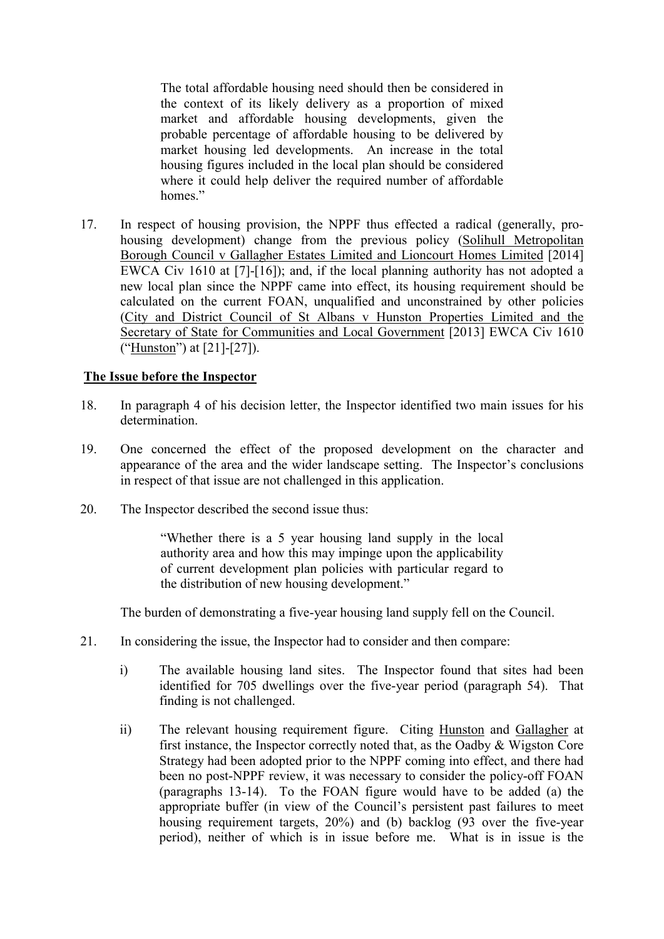The total affordable housing need should then be considered in the context of its likely delivery as a proportion of mixed market and affordable housing developments, given the probable percentage of affordable housing to be delivered by market housing led developments. An increase in the total housing figures included in the local plan should be considered where it could help deliver the required number of affordable homes"

17. In respect of housing provision, the NPPF thus effected a radical (generally, prohousing development) change from the previous policy (Solihull Metropolitan Borough Council v Gallagher Estates Limited and Lioncourt Homes Limited [2014] EWCA Civ 1610 at [7]-[16]); and, if the local planning authority has not adopted a new local plan since the NPPF came into effect, its housing requirement should be calculated on the current FOAN, unqualified and unconstrained by other policies (City and District Council of St Albans v Hunston Properties Limited and the Secretary of State for Communities and Local Government [2013] EWCA Civ 1610 ("Hunston") at [21]-[27]).

### **The Issue before the Inspector**

- 18. In paragraph 4 of his decision letter, the Inspector identified two main issues for his determination.
- 19. One concerned the effect of the proposed development on the character and appearance of the area and the wider landscape setting. The Inspector's conclusions in respect of that issue are not challenged in this application.
- 20. The Inspector described the second issue thus:

"Whether there is a 5 year housing land supply in the local authority area and how this may impinge upon the applicability of current development plan policies with particular regard to the distribution of new housing development."

The burden of demonstrating a five-year housing land supply fell on the Council.

- 21. In considering the issue, the Inspector had to consider and then compare:
	- i) The available housing land sites. The Inspector found that sites had been identified for 705 dwellings over the five-year period (paragraph 54). That finding is not challenged.
	- ii) The relevant housing requirement figure. Citing Hunston and Gallagher at first instance, the Inspector correctly noted that, as the Oadby & Wigston Core Strategy had been adopted prior to the NPPF coming into effect, and there had been no post-NPPF review, it was necessary to consider the policy-off FOAN (paragraphs 13-14). To the FOAN figure would have to be added (a) the appropriate buffer (in view of the Council's persistent past failures to meet housing requirement targets, 20%) and (b) backlog (93 over the five-year period), neither of which is in issue before me. What is in issue is the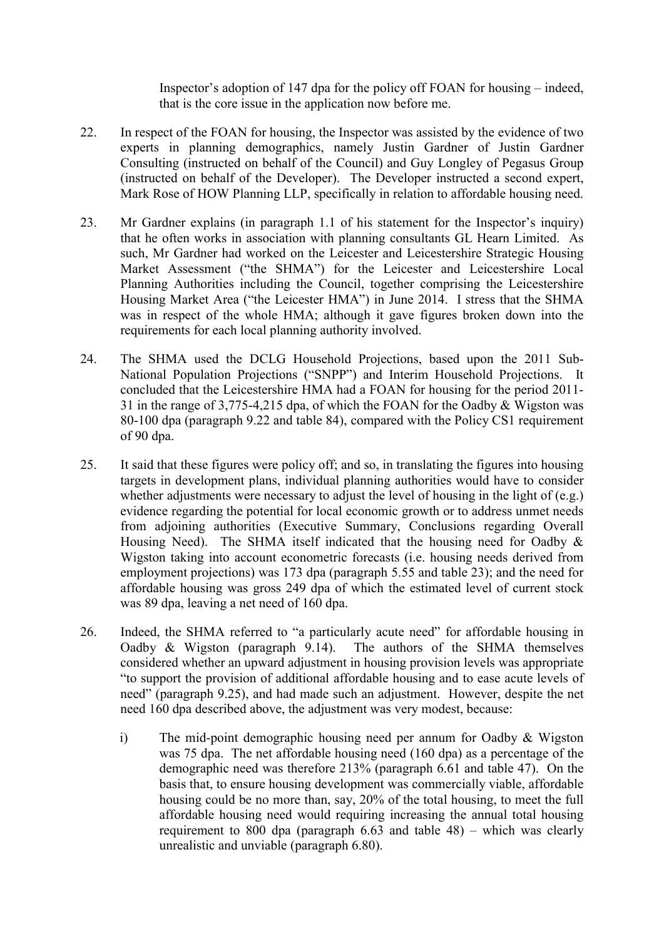Inspector's adoption of 147 dpa for the policy off FOAN for housing – indeed, that is the core issue in the application now before me.

- 22. In respect of the FOAN for housing, the Inspector was assisted by the evidence of two experts in planning demographics, namely Justin Gardner of Justin Gardner Consulting (instructed on behalf of the Council) and Guy Longley of Pegasus Group (instructed on behalf of the Developer). The Developer instructed a second expert, Mark Rose of HOW Planning LLP, specifically in relation to affordable housing need.
- 23. Mr Gardner explains (in paragraph 1.1 of his statement for the Inspector's inquiry) that he often works in association with planning consultants GL Hearn Limited. As such, Mr Gardner had worked on the Leicester and Leicestershire Strategic Housing Market Assessment ("the SHMA") for the Leicester and Leicestershire Local Planning Authorities including the Council, together comprising the Leicestershire Housing Market Area ("the Leicester HMA") in June 2014. I stress that the SHMA was in respect of the whole HMA; although it gave figures broken down into the requirements for each local planning authority involved.
- 24. The SHMA used the DCLG Household Projections, based upon the 2011 Sub-National Population Projections ("SNPP") and Interim Household Projections. It concluded that the Leicestershire HMA had a FOAN for housing for the period 2011- 31 in the range of 3,775-4,215 dpa, of which the FOAN for the Oadby & Wigston was 80-100 dpa (paragraph 9.22 and table 84), compared with the Policy CS1 requirement of 90 dpa.
- 25. It said that these figures were policy off; and so, in translating the figures into housing targets in development plans, individual planning authorities would have to consider whether adjustments were necessary to adjust the level of housing in the light of (e.g.) evidence regarding the potential for local economic growth or to address unmet needs from adjoining authorities (Executive Summary, Conclusions regarding Overall Housing Need). The SHMA itself indicated that the housing need for Oadby  $\&$ Wigston taking into account econometric forecasts (i.e. housing needs derived from employment projections) was 173 dpa (paragraph 5.55 and table 23); and the need for affordable housing was gross 249 dpa of which the estimated level of current stock was 89 dpa, leaving a net need of 160 dpa.
- 26. Indeed, the SHMA referred to "a particularly acute need" for affordable housing in Oadby & Wigston (paragraph 9.14). The authors of the SHMA themselves considered whether an upward adjustment in housing provision levels was appropriate "to support the provision of additional affordable housing and to ease acute levels of need" (paragraph 9.25), and had made such an adjustment. However, despite the net need 160 dpa described above, the adjustment was very modest, because:
	- i) The mid-point demographic housing need per annum for Oadby & Wigston was 75 dpa. The net affordable housing need (160 dpa) as a percentage of the demographic need was therefore 213% (paragraph 6.61 and table 47). On the basis that, to ensure housing development was commercially viable, affordable housing could be no more than, say, 20% of the total housing, to meet the full affordable housing need would requiring increasing the annual total housing requirement to 800 dpa (paragraph 6.63 and table 48) – which was clearly unrealistic and unviable (paragraph 6.80).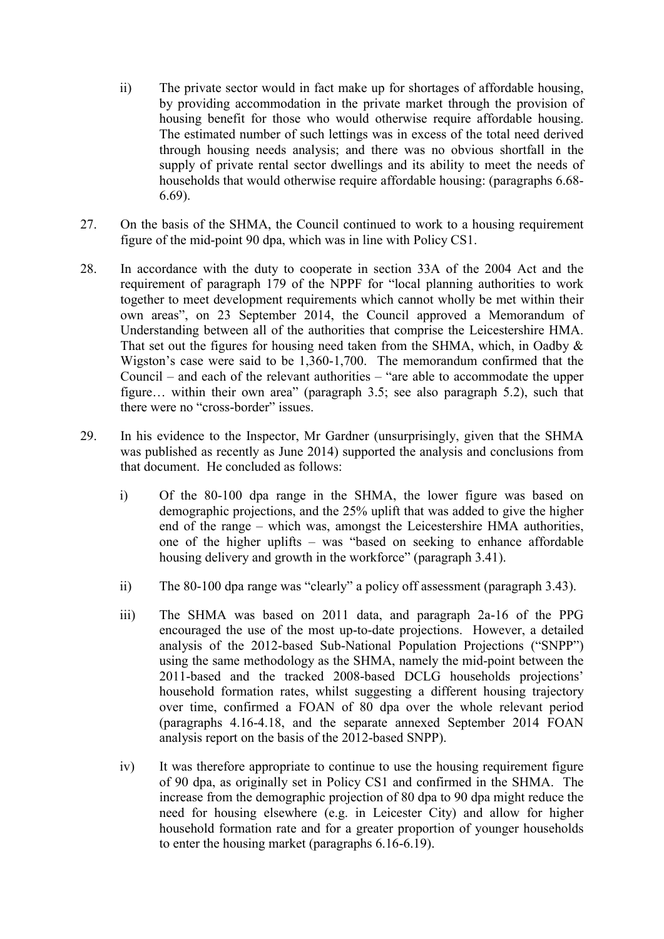- ii) The private sector would in fact make up for shortages of affordable housing, by providing accommodation in the private market through the provision of housing benefit for those who would otherwise require affordable housing. The estimated number of such lettings was in excess of the total need derived through housing needs analysis; and there was no obvious shortfall in the supply of private rental sector dwellings and its ability to meet the needs of households that would otherwise require affordable housing: (paragraphs 6.68- 6.69).
- 27. On the basis of the SHMA, the Council continued to work to a housing requirement figure of the mid-point 90 dpa, which was in line with Policy CS1.
- 28. In accordance with the duty to cooperate in section 33A of the 2004 Act and the requirement of paragraph 179 of the NPPF for "local planning authorities to work together to meet development requirements which cannot wholly be met within their own areas", on 23 September 2014, the Council approved a Memorandum of Understanding between all of the authorities that comprise the Leicestershire HMA. That set out the figures for housing need taken from the SHMA, which, in Oadby  $\&$ Wigston's case were said to be 1,360-1,700. The memorandum confirmed that the Council – and each of the relevant authorities – "are able to accommodate the upper figure… within their own area" (paragraph 3.5; see also paragraph 5.2), such that there were no "cross-border" issues.
- 29. In his evidence to the Inspector, Mr Gardner (unsurprisingly, given that the SHMA was published as recently as June 2014) supported the analysis and conclusions from that document. He concluded as follows:
	- i) Of the 80-100 dpa range in the SHMA, the lower figure was based on demographic projections, and the 25% uplift that was added to give the higher end of the range – which was, amongst the Leicestershire HMA authorities, one of the higher uplifts – was "based on seeking to enhance affordable housing delivery and growth in the workforce" (paragraph 3.41).
	- ii) The 80-100 dpa range was "clearly" a policy off assessment (paragraph 3.43).
	- iii) The SHMA was based on 2011 data, and paragraph 2a-16 of the PPG encouraged the use of the most up-to-date projections. However, a detailed analysis of the 2012-based Sub-National Population Projections ("SNPP") using the same methodology as the SHMA, namely the mid-point between the 2011-based and the tracked 2008-based DCLG households projections' household formation rates, whilst suggesting a different housing trajectory over time, confirmed a FOAN of 80 dpa over the whole relevant period (paragraphs 4.16-4.18, and the separate annexed September 2014 FOAN analysis report on the basis of the 2012-based SNPP).
	- iv) It was therefore appropriate to continue to use the housing requirement figure of 90 dpa, as originally set in Policy CS1 and confirmed in the SHMA. The increase from the demographic projection of 80 dpa to 90 dpa might reduce the need for housing elsewhere (e.g. in Leicester City) and allow for higher household formation rate and for a greater proportion of younger households to enter the housing market (paragraphs 6.16-6.19).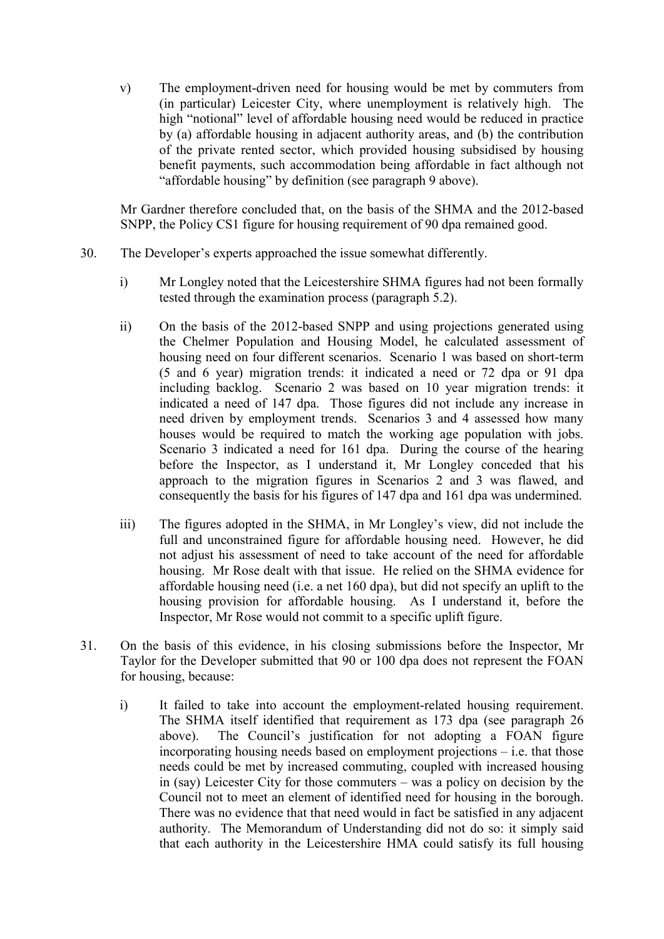v) The employment-driven need for housing would be met by commuters from (in particular) Leicester City, where unemployment is relatively high. The high "notional" level of affordable housing need would be reduced in practice by (a) affordable housing in adjacent authority areas, and (b) the contribution of the private rented sector, which provided housing subsidised by housing benefit payments, such accommodation being affordable in fact although not "affordable housing" by definition (see paragraph 9 above).

Mr Gardner therefore concluded that, on the basis of the SHMA and the 2012-based SNPP, the Policy CS1 figure for housing requirement of 90 dpa remained good.

- 30. The Developer's experts approached the issue somewhat differently.
	- i) Mr Longley noted that the Leicestershire SHMA figures had not been formally tested through the examination process (paragraph 5.2).
	- ii) On the basis of the 2012-based SNPP and using projections generated using the Chelmer Population and Housing Model, he calculated assessment of housing need on four different scenarios. Scenario 1 was based on short-term (5 and 6 year) migration trends: it indicated a need or 72 dpa or 91 dpa including backlog. Scenario 2 was based on 10 year migration trends: it indicated a need of 147 dpa. Those figures did not include any increase in need driven by employment trends. Scenarios 3 and 4 assessed how many houses would be required to match the working age population with jobs. Scenario 3 indicated a need for 161 dpa. During the course of the hearing before the Inspector, as I understand it, Mr Longley conceded that his approach to the migration figures in Scenarios 2 and 3 was flawed, and consequently the basis for his figures of 147 dpa and 161 dpa was undermined.
	- iii) The figures adopted in the SHMA, in Mr Longley's view, did not include the full and unconstrained figure for affordable housing need. However, he did not adjust his assessment of need to take account of the need for affordable housing. Mr Rose dealt with that issue. He relied on the SHMA evidence for affordable housing need (i.e. a net 160 dpa), but did not specify an uplift to the housing provision for affordable housing. As I understand it, before the Inspector, Mr Rose would not commit to a specific uplift figure.
- 31. On the basis of this evidence, in his closing submissions before the Inspector, Mr Taylor for the Developer submitted that 90 or 100 dpa does not represent the FOAN for housing, because:
	- i) It failed to take into account the employment-related housing requirement. The SHMA itself identified that requirement as 173 dpa (see paragraph 26 above). The Council's justification for not adopting a FOAN figure incorporating housing needs based on employment projections – i.e. that those needs could be met by increased commuting, coupled with increased housing in (say) Leicester City for those commuters – was a policy on decision by the Council not to meet an element of identified need for housing in the borough. There was no evidence that that need would in fact be satisfied in any adjacent authority. The Memorandum of Understanding did not do so: it simply said that each authority in the Leicestershire HMA could satisfy its full housing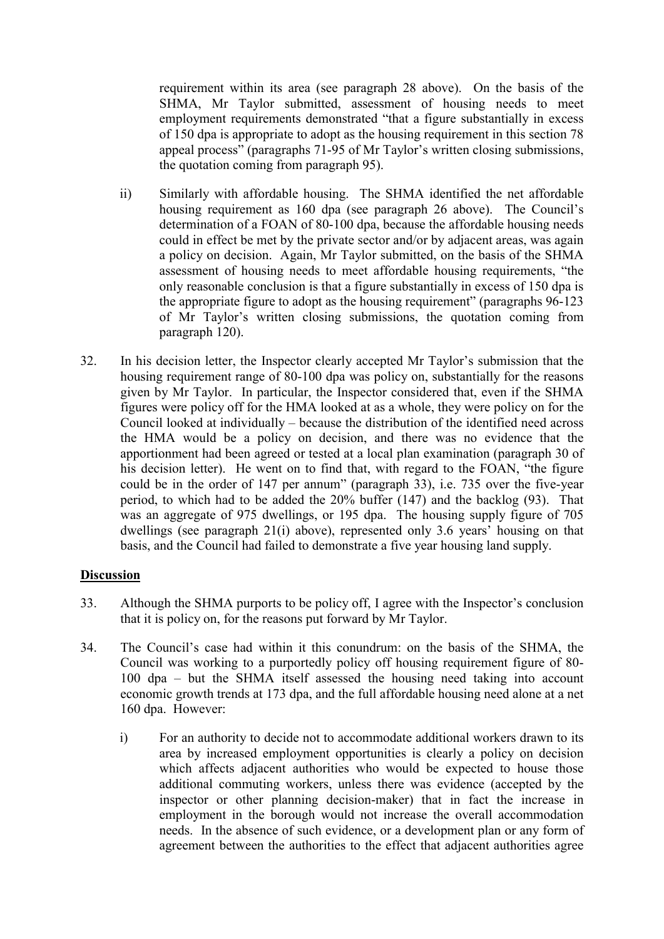requirement within its area (see paragraph 28 above). On the basis of the SHMA, Mr Taylor submitted, assessment of housing needs to meet employment requirements demonstrated "that a figure substantially in excess of 150 dpa is appropriate to adopt as the housing requirement in this section 78 appeal process" (paragraphs 71-95 of Mr Taylor's written closing submissions, the quotation coming from paragraph 95).

- ii) Similarly with affordable housing. The SHMA identified the net affordable housing requirement as 160 dpa (see paragraph 26 above). The Council's determination of a FOAN of 80-100 dpa, because the affordable housing needs could in effect be met by the private sector and/or by adjacent areas, was again a policy on decision. Again, Mr Taylor submitted, on the basis of the SHMA assessment of housing needs to meet affordable housing requirements, "the only reasonable conclusion is that a figure substantially in excess of 150 dpa is the appropriate figure to adopt as the housing requirement" (paragraphs 96-123 of Mr Taylor's written closing submissions, the quotation coming from paragraph 120).
- 32. In his decision letter, the Inspector clearly accepted Mr Taylor's submission that the housing requirement range of 80-100 dpa was policy on, substantially for the reasons given by Mr Taylor. In particular, the Inspector considered that, even if the SHMA figures were policy off for the HMA looked at as a whole, they were policy on for the Council looked at individually – because the distribution of the identified need across the HMA would be a policy on decision, and there was no evidence that the apportionment had been agreed or tested at a local plan examination (paragraph 30 of his decision letter). He went on to find that, with regard to the FOAN, "the figure could be in the order of 147 per annum" (paragraph 33), i.e. 735 over the five-year period, to which had to be added the 20% buffer (147) and the backlog (93). That was an aggregate of 975 dwellings, or 195 dpa. The housing supply figure of 705 dwellings (see paragraph 21(i) above), represented only 3.6 years' housing on that basis, and the Council had failed to demonstrate a five year housing land supply.

## **Discussion**

- 33. Although the SHMA purports to be policy off, I agree with the Inspector's conclusion that it is policy on, for the reasons put forward by Mr Taylor.
- 34. The Council's case had within it this conundrum: on the basis of the SHMA, the Council was working to a purportedly policy off housing requirement figure of 80- 100 dpa – but the SHMA itself assessed the housing need taking into account economic growth trends at 173 dpa, and the full affordable housing need alone at a net 160 dpa. However:
	- i) For an authority to decide not to accommodate additional workers drawn to its area by increased employment opportunities is clearly a policy on decision which affects adjacent authorities who would be expected to house those additional commuting workers, unless there was evidence (accepted by the inspector or other planning decision-maker) that in fact the increase in employment in the borough would not increase the overall accommodation needs. In the absence of such evidence, or a development plan or any form of agreement between the authorities to the effect that adjacent authorities agree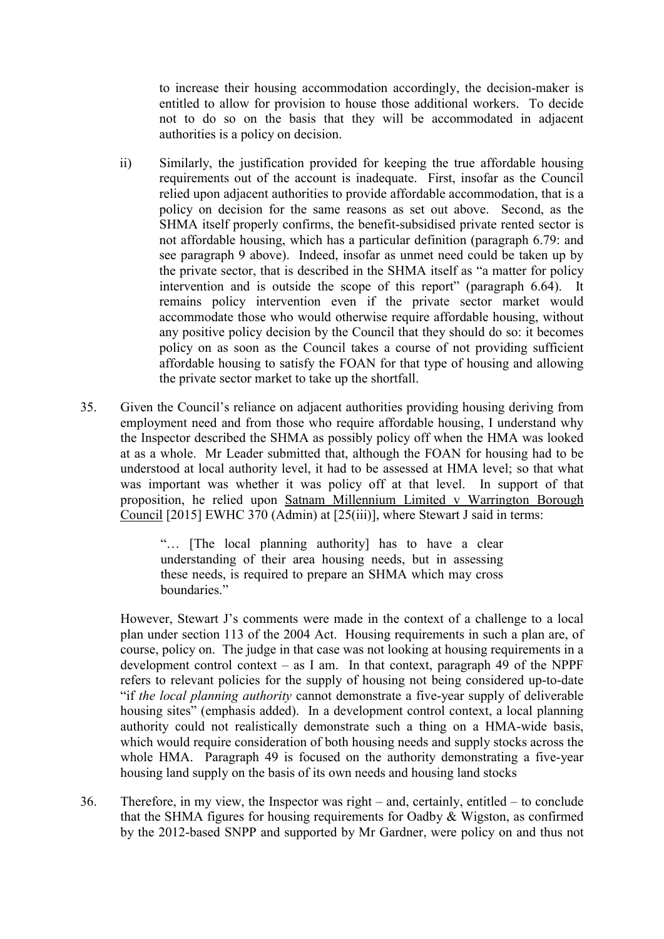to increase their housing accommodation accordingly, the decision-maker is entitled to allow for provision to house those additional workers. To decide not to do so on the basis that they will be accommodated in adjacent authorities is a policy on decision.

- ii) Similarly, the justification provided for keeping the true affordable housing requirements out of the account is inadequate. First, insofar as the Council relied upon adjacent authorities to provide affordable accommodation, that is a policy on decision for the same reasons as set out above. Second, as the SHMA itself properly confirms, the benefit-subsidised private rented sector is not affordable housing, which has a particular definition (paragraph 6.79: and see paragraph 9 above). Indeed, insofar as unmet need could be taken up by the private sector, that is described in the SHMA itself as "a matter for policy intervention and is outside the scope of this report" (paragraph 6.64). It remains policy intervention even if the private sector market would accommodate those who would otherwise require affordable housing, without any positive policy decision by the Council that they should do so: it becomes policy on as soon as the Council takes a course of not providing sufficient affordable housing to satisfy the FOAN for that type of housing and allowing the private sector market to take up the shortfall.
- 35. Given the Council's reliance on adjacent authorities providing housing deriving from employment need and from those who require affordable housing, I understand why the Inspector described the SHMA as possibly policy off when the HMA was looked at as a whole. Mr Leader submitted that, although the FOAN for housing had to be understood at local authority level, it had to be assessed at HMA level; so that what was important was whether it was policy off at that level. In support of that proposition, he relied upon Satnam Millennium Limited v Warrington Borough Council [2015] EWHC 370 (Admin) at [25(iii)], where Stewart J said in terms:

"… [The local planning authority] has to have a clear understanding of their area housing needs, but in assessing these needs, is required to prepare an SHMA which may cross boundaries."

However, Stewart J's comments were made in the context of a challenge to a local plan under section 113 of the 2004 Act. Housing requirements in such a plan are, of course, policy on. The judge in that case was not looking at housing requirements in a development control context – as I am. In that context, paragraph 49 of the NPPF refers to relevant policies for the supply of housing not being considered up-to-date "if *the local planning authority* cannot demonstrate a five-year supply of deliverable housing sites" (emphasis added). In a development control context, a local planning authority could not realistically demonstrate such a thing on a HMA-wide basis, which would require consideration of both housing needs and supply stocks across the whole HMA. Paragraph 49 is focused on the authority demonstrating a five-year housing land supply on the basis of its own needs and housing land stocks

36. Therefore, in my view, the Inspector was right – and, certainly, entitled – to conclude that the SHMA figures for housing requirements for Oadby & Wigston, as confirmed by the 2012-based SNPP and supported by Mr Gardner, were policy on and thus not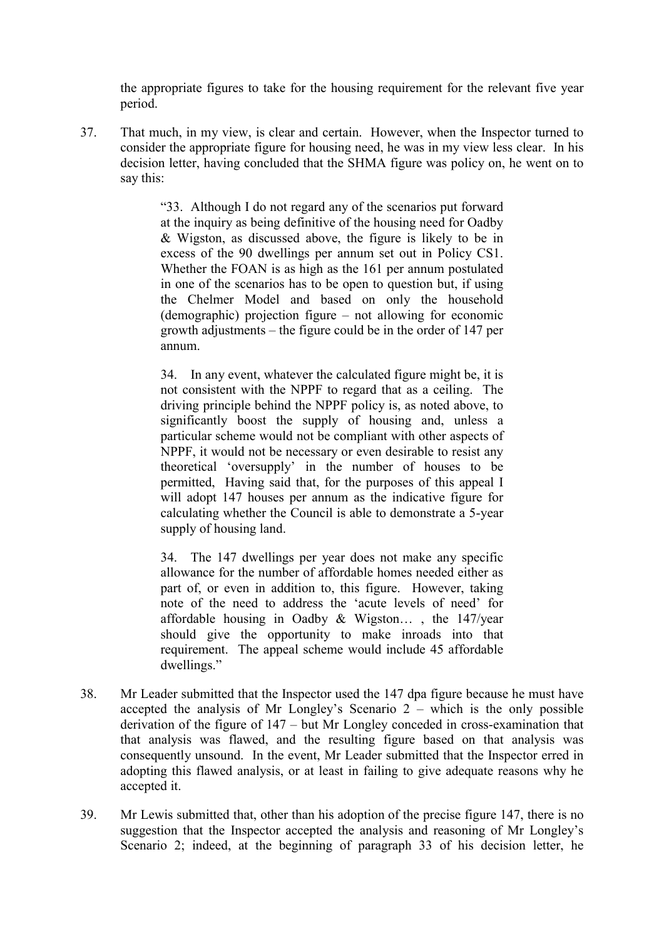the appropriate figures to take for the housing requirement for the relevant five year period.

37. That much, in my view, is clear and certain. However, when the Inspector turned to consider the appropriate figure for housing need, he was in my view less clear. In his decision letter, having concluded that the SHMA figure was policy on, he went on to say this:

> "33. Although I do not regard any of the scenarios put forward at the inquiry as being definitive of the housing need for Oadby & Wigston, as discussed above, the figure is likely to be in excess of the 90 dwellings per annum set out in Policy CS1. Whether the FOAN is as high as the 161 per annum postulated in one of the scenarios has to be open to question but, if using the Chelmer Model and based on only the household (demographic) projection figure – not allowing for economic growth adjustments – the figure could be in the order of 147 per annum.

> 34. In any event, whatever the calculated figure might be, it is not consistent with the NPPF to regard that as a ceiling. The driving principle behind the NPPF policy is, as noted above, to significantly boost the supply of housing and, unless a particular scheme would not be compliant with other aspects of NPPF, it would not be necessary or even desirable to resist any theoretical 'oversupply' in the number of houses to be permitted, Having said that, for the purposes of this appeal I will adopt 147 houses per annum as the indicative figure for calculating whether the Council is able to demonstrate a 5-year supply of housing land.

> 34. The 147 dwellings per year does not make any specific allowance for the number of affordable homes needed either as part of, or even in addition to, this figure. However, taking note of the need to address the 'acute levels of need' for affordable housing in Oadby & Wigston… , the 147/year should give the opportunity to make inroads into that requirement. The appeal scheme would include 45 affordable dwellings."

- 38. Mr Leader submitted that the Inspector used the 147 dpa figure because he must have accepted the analysis of Mr Longley's Scenario  $2$  – which is the only possible derivation of the figure of 147 – but Mr Longley conceded in cross-examination that that analysis was flawed, and the resulting figure based on that analysis was consequently unsound. In the event, Mr Leader submitted that the Inspector erred in adopting this flawed analysis, or at least in failing to give adequate reasons why he accepted it.
- 39. Mr Lewis submitted that, other than his adoption of the precise figure 147, there is no suggestion that the Inspector accepted the analysis and reasoning of Mr Longley's Scenario 2; indeed, at the beginning of paragraph 33 of his decision letter, he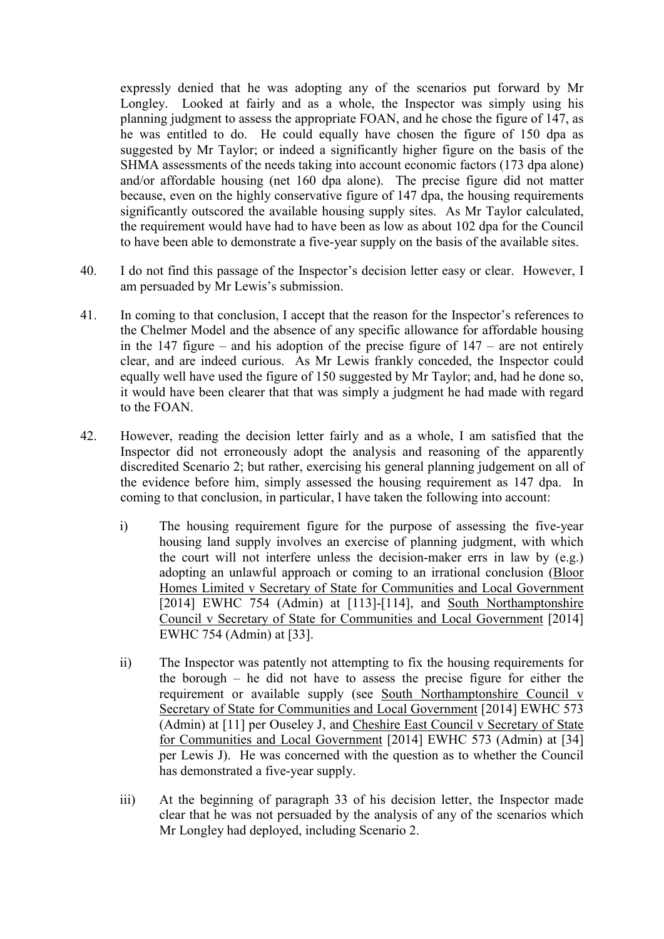expressly denied that he was adopting any of the scenarios put forward by Mr Longley. Looked at fairly and as a whole, the Inspector was simply using his planning judgment to assess the appropriate FOAN, and he chose the figure of 147, as he was entitled to do. He could equally have chosen the figure of 150 dpa as suggested by Mr Taylor; or indeed a significantly higher figure on the basis of the SHMA assessments of the needs taking into account economic factors (173 dpa alone) and/or affordable housing (net 160 dpa alone). The precise figure did not matter because, even on the highly conservative figure of 147 dpa, the housing requirements significantly outscored the available housing supply sites. As Mr Taylor calculated, the requirement would have had to have been as low as about 102 dpa for the Council to have been able to demonstrate a five-year supply on the basis of the available sites.

- 40. I do not find this passage of the Inspector's decision letter easy or clear. However, I am persuaded by Mr Lewis's submission.
- 41. In coming to that conclusion, I accept that the reason for the Inspector's references to the Chelmer Model and the absence of any specific allowance for affordable housing in the 147 figure – and his adoption of the precise figure of 147 – are not entirely clear, and are indeed curious. As Mr Lewis frankly conceded, the Inspector could equally well have used the figure of 150 suggested by Mr Taylor; and, had he done so, it would have been clearer that that was simply a judgment he had made with regard to the FOAN.
- 42. However, reading the decision letter fairly and as a whole, I am satisfied that the Inspector did not erroneously adopt the analysis and reasoning of the apparently discredited Scenario 2; but rather, exercising his general planning judgement on all of the evidence before him, simply assessed the housing requirement as 147 dpa. In coming to that conclusion, in particular, I have taken the following into account:
	- i) The housing requirement figure for the purpose of assessing the five-year housing land supply involves an exercise of planning judgment, with which the court will not interfere unless the decision-maker errs in law by (e.g.) adopting an unlawful approach or coming to an irrational conclusion (Bloor Homes Limited v Secretary of State for Communities and Local Government [2014] EWHC 754 (Admin) at [113]-[114], and South Northamptonshire Council v Secretary of State for Communities and Local Government [2014] EWHC 754 (Admin) at [33].
	- ii) The Inspector was patently not attempting to fix the housing requirements for the borough – he did not have to assess the precise figure for either the requirement or available supply (see South Northamptonshire Council v Secretary of State for Communities and Local Government [2014] EWHC 573 (Admin) at [11] per Ouseley J, and Cheshire East Council v Secretary of State for Communities and Local Government [2014] EWHC 573 (Admin) at [34] per Lewis J). He was concerned with the question as to whether the Council has demonstrated a five-year supply.
	- iii) At the beginning of paragraph 33 of his decision letter, the Inspector made clear that he was not persuaded by the analysis of any of the scenarios which Mr Longley had deployed, including Scenario 2.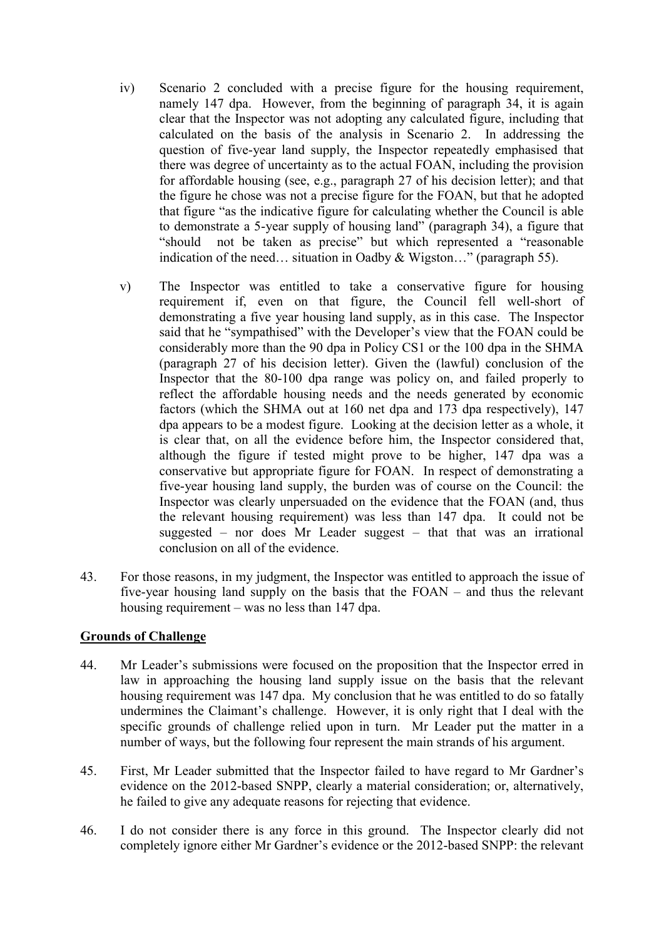- iv) Scenario 2 concluded with a precise figure for the housing requirement, namely 147 dpa. However, from the beginning of paragraph 34, it is again clear that the Inspector was not adopting any calculated figure, including that calculated on the basis of the analysis in Scenario 2. In addressing the question of five-year land supply, the Inspector repeatedly emphasised that there was degree of uncertainty as to the actual FOAN, including the provision for affordable housing (see, e.g., paragraph 27 of his decision letter); and that the figure he chose was not a precise figure for the FOAN, but that he adopted that figure "as the indicative figure for calculating whether the Council is able to demonstrate a 5-year supply of housing land" (paragraph 34), a figure that "should not be taken as precise" but which represented a "reasonable indication of the need… situation in Oadby & Wigston…" (paragraph 55).
- v) The Inspector was entitled to take a conservative figure for housing requirement if, even on that figure, the Council fell well-short of demonstrating a five year housing land supply, as in this case. The Inspector said that he "sympathised" with the Developer's view that the FOAN could be considerably more than the 90 dpa in Policy CS1 or the 100 dpa in the SHMA (paragraph 27 of his decision letter). Given the (lawful) conclusion of the Inspector that the 80-100 dpa range was policy on, and failed properly to reflect the affordable housing needs and the needs generated by economic factors (which the SHMA out at 160 net dpa and 173 dpa respectively), 147 dpa appears to be a modest figure. Looking at the decision letter as a whole, it is clear that, on all the evidence before him, the Inspector considered that, although the figure if tested might prove to be higher, 147 dpa was a conservative but appropriate figure for FOAN. In respect of demonstrating a five-year housing land supply, the burden was of course on the Council: the Inspector was clearly unpersuaded on the evidence that the FOAN (and, thus the relevant housing requirement) was less than 147 dpa. It could not be suggested – nor does Mr Leader suggest – that that was an irrational conclusion on all of the evidence.
- 43. For those reasons, in my judgment, the Inspector was entitled to approach the issue of five-year housing land supply on the basis that the FOAN – and thus the relevant housing requirement – was no less than 147 dpa.

## **Grounds of Challenge**

- 44. Mr Leader's submissions were focused on the proposition that the Inspector erred in law in approaching the housing land supply issue on the basis that the relevant housing requirement was 147 dpa. My conclusion that he was entitled to do so fatally undermines the Claimant's challenge. However, it is only right that I deal with the specific grounds of challenge relied upon in turn. Mr Leader put the matter in a number of ways, but the following four represent the main strands of his argument.
- 45. First, Mr Leader submitted that the Inspector failed to have regard to Mr Gardner's evidence on the 2012-based SNPP, clearly a material consideration; or, alternatively, he failed to give any adequate reasons for rejecting that evidence.
- 46. I do not consider there is any force in this ground. The Inspector clearly did not completely ignore either Mr Gardner's evidence or the 2012-based SNPP: the relevant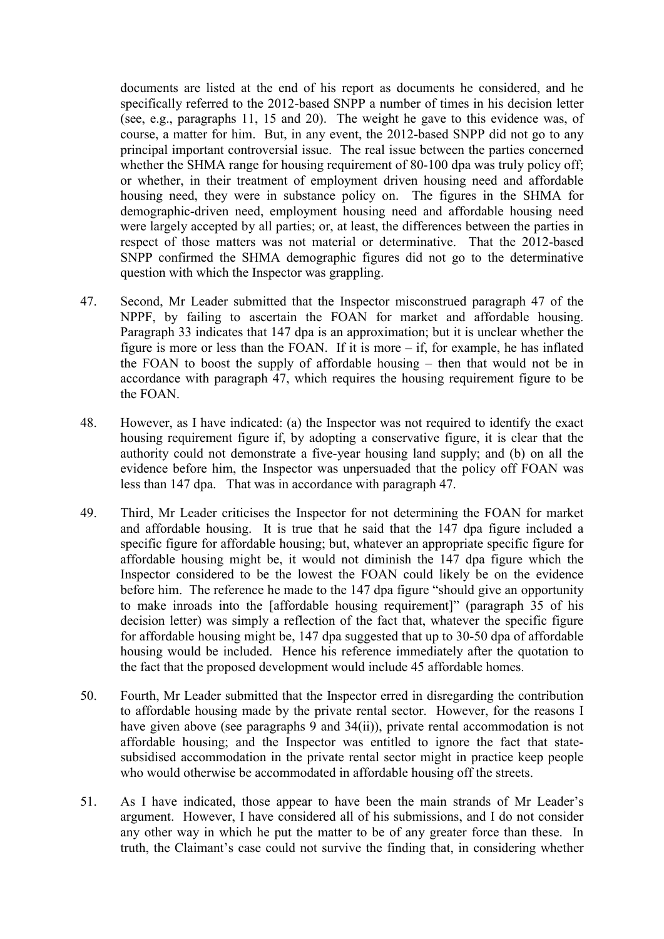documents are listed at the end of his report as documents he considered, and he specifically referred to the 2012-based SNPP a number of times in his decision letter (see, e.g., paragraphs 11, 15 and 20). The weight he gave to this evidence was, of course, a matter for him. But, in any event, the 2012-based SNPP did not go to any principal important controversial issue. The real issue between the parties concerned whether the SHMA range for housing requirement of 80-100 dpa was truly policy off; or whether, in their treatment of employment driven housing need and affordable housing need, they were in substance policy on. The figures in the SHMA for demographic-driven need, employment housing need and affordable housing need were largely accepted by all parties; or, at least, the differences between the parties in respect of those matters was not material or determinative. That the 2012-based SNPP confirmed the SHMA demographic figures did not go to the determinative question with which the Inspector was grappling.

- 47. Second, Mr Leader submitted that the Inspector misconstrued paragraph 47 of the NPPF, by failing to ascertain the FOAN for market and affordable housing. Paragraph 33 indicates that 147 dpa is an approximation; but it is unclear whether the figure is more or less than the FOAN. If it is more – if, for example, he has inflated the FOAN to boost the supply of affordable housing – then that would not be in accordance with paragraph 47, which requires the housing requirement figure to be the FOAN.
- 48. However, as I have indicated: (a) the Inspector was not required to identify the exact housing requirement figure if, by adopting a conservative figure, it is clear that the authority could not demonstrate a five-year housing land supply; and (b) on all the evidence before him, the Inspector was unpersuaded that the policy off FOAN was less than 147 dpa. That was in accordance with paragraph 47.
- 49. Third, Mr Leader criticises the Inspector for not determining the FOAN for market and affordable housing. It is true that he said that the 147 dpa figure included a specific figure for affordable housing; but, whatever an appropriate specific figure for affordable housing might be, it would not diminish the 147 dpa figure which the Inspector considered to be the lowest the FOAN could likely be on the evidence before him. The reference he made to the 147 dpa figure "should give an opportunity to make inroads into the [affordable housing requirement]" (paragraph 35 of his decision letter) was simply a reflection of the fact that, whatever the specific figure for affordable housing might be, 147 dpa suggested that up to 30-50 dpa of affordable housing would be included. Hence his reference immediately after the quotation to the fact that the proposed development would include 45 affordable homes.
- 50. Fourth, Mr Leader submitted that the Inspector erred in disregarding the contribution to affordable housing made by the private rental sector. However, for the reasons I have given above (see paragraphs 9 and 34(ii)), private rental accommodation is not affordable housing; and the Inspector was entitled to ignore the fact that statesubsidised accommodation in the private rental sector might in practice keep people who would otherwise be accommodated in affordable housing off the streets.
- 51. As I have indicated, those appear to have been the main strands of Mr Leader's argument. However, I have considered all of his submissions, and I do not consider any other way in which he put the matter to be of any greater force than these. In truth, the Claimant's case could not survive the finding that, in considering whether